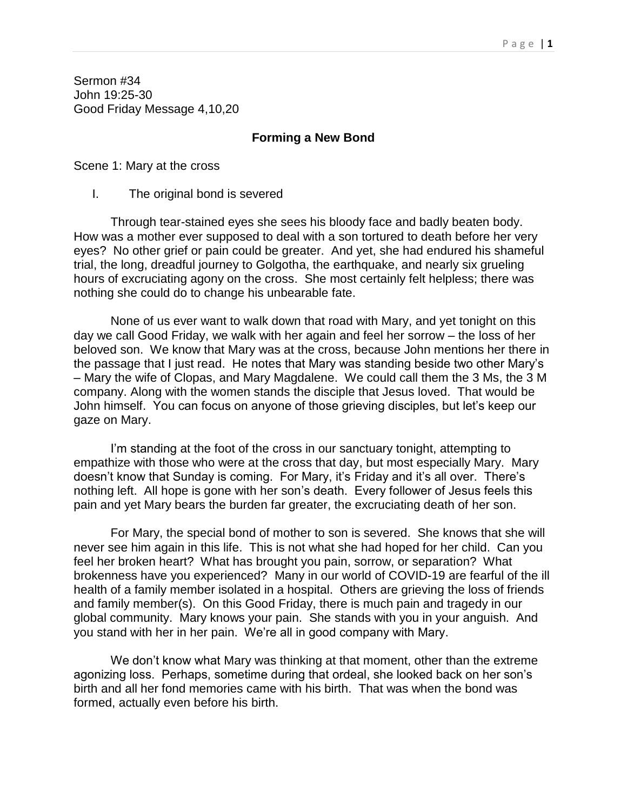Sermon #34 John 19:25-30 Good Friday Message 4,10,20

## **Forming a New Bond**

Scene 1: Mary at the cross

I. The original bond is severed

Through tear-stained eyes she sees his bloody face and badly beaten body. How was a mother ever supposed to deal with a son tortured to death before her very eyes? No other grief or pain could be greater. And yet, she had endured his shameful trial, the long, dreadful journey to Golgotha, the earthquake, and nearly six grueling hours of excruciating agony on the cross. She most certainly felt helpless; there was nothing she could do to change his unbearable fate.

None of us ever want to walk down that road with Mary, and yet tonight on this day we call Good Friday, we walk with her again and feel her sorrow – the loss of her beloved son. We know that Mary was at the cross, because John mentions her there in the passage that I just read. He notes that Mary was standing beside two other Mary's – Mary the wife of Clopas, and Mary Magdalene. We could call them the 3 Ms, the 3 M company. Along with the women stands the disciple that Jesus loved. That would be John himself. You can focus on anyone of those grieving disciples, but let's keep our gaze on Mary.

I'm standing at the foot of the cross in our sanctuary tonight, attempting to empathize with those who were at the cross that day, but most especially Mary. Mary doesn't know that Sunday is coming. For Mary, it's Friday and it's all over. There's nothing left. All hope is gone with her son's death. Every follower of Jesus feels this pain and yet Mary bears the burden far greater, the excruciating death of her son.

For Mary, the special bond of mother to son is severed. She knows that she will never see him again in this life. This is not what she had hoped for her child. Can you feel her broken heart? What has brought you pain, sorrow, or separation? What brokenness have you experienced? Many in our world of COVID-19 are fearful of the ill health of a family member isolated in a hospital. Others are grieving the loss of friends and family member(s). On this Good Friday, there is much pain and tragedy in our global community. Mary knows your pain. She stands with you in your anguish. And you stand with her in her pain. We're all in good company with Mary.

We don't know what Mary was thinking at that moment, other than the extreme agonizing loss. Perhaps, sometime during that ordeal, she looked back on her son's birth and all her fond memories came with his birth. That was when the bond was formed, actually even before his birth.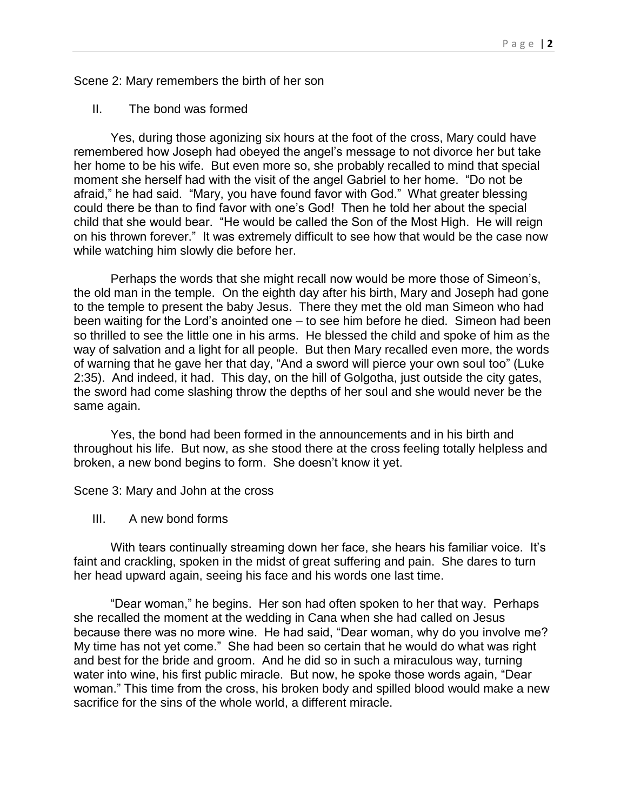Scene 2: Mary remembers the birth of her son

II. The bond was formed

Yes, during those agonizing six hours at the foot of the cross, Mary could have remembered how Joseph had obeyed the angel's message to not divorce her but take her home to be his wife. But even more so, she probably recalled to mind that special moment she herself had with the visit of the angel Gabriel to her home. "Do not be afraid," he had said. "Mary, you have found favor with God." What greater blessing could there be than to find favor with one's God! Then he told her about the special child that she would bear. "He would be called the Son of the Most High. He will reign on his thrown forever." It was extremely difficult to see how that would be the case now while watching him slowly die before her.

Perhaps the words that she might recall now would be more those of Simeon's, the old man in the temple. On the eighth day after his birth, Mary and Joseph had gone to the temple to present the baby Jesus. There they met the old man Simeon who had been waiting for the Lord's anointed one – to see him before he died. Simeon had been so thrilled to see the little one in his arms. He blessed the child and spoke of him as the way of salvation and a light for all people. But then Mary recalled even more, the words of warning that he gave her that day, "And a sword will pierce your own soul too" (Luke 2:35). And indeed, it had. This day, on the hill of Golgotha, just outside the city gates, the sword had come slashing throw the depths of her soul and she would never be the same again.

Yes, the bond had been formed in the announcements and in his birth and throughout his life. But now, as she stood there at the cross feeling totally helpless and broken, a new bond begins to form. She doesn't know it yet.

Scene 3: Mary and John at the cross

III. A new bond forms

With tears continually streaming down her face, she hears his familiar voice. It's faint and crackling, spoken in the midst of great suffering and pain. She dares to turn her head upward again, seeing his face and his words one last time.

"Dear woman," he begins. Her son had often spoken to her that way. Perhaps she recalled the moment at the wedding in Cana when she had called on Jesus because there was no more wine. He had said, "Dear woman, why do you involve me? My time has not yet come." She had been so certain that he would do what was right and best for the bride and groom. And he did so in such a miraculous way, turning water into wine, his first public miracle. But now, he spoke those words again, "Dear woman." This time from the cross, his broken body and spilled blood would make a new sacrifice for the sins of the whole world, a different miracle.